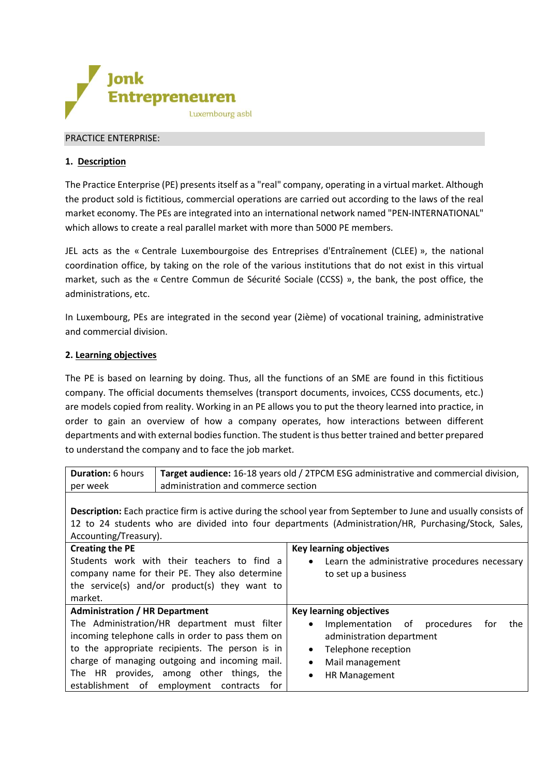

## PRACTICE ENTERPRISE:

# **1. Description**

The Practice Enterprise (PE) presents itself as a "real" company, operating in a virtual market. Although the product sold is fictitious, commercial operations are carried out according to the laws of the real market economy. The PEs are integrated into an international network named "PEN-INTERNATIONAL" which allows to create a real parallel market with more than 5000 PE members.

JEL acts as the « Centrale Luxembourgoise des Entreprises d'Entraînement (CLEE) », the national coordination office, by taking on the role of the various institutions that do not exist in this virtual market, such as the « Centre Commun de Sécurité Sociale (CCSS) », the bank, the post office, the administrations, etc.

In Luxembourg, PEs are integrated in the second year (2ième) of vocational training, administrative and commercial division.

### **2. Learning objectives**

The PE is based on learning by doing. Thus, all the functions of an SME are found in this fictitious company. The official documents themselves (transport documents, invoices, CCSS documents, etc.) are models copied from reality. Working in an PE allows you to put the theory learned into practice, in order to gain an overview of how a company operates, how interactions between different departments and with external bodiesfunction. The student is thus better trained and better prepared to understand the company and to face the job market.

| <b>Duration:</b> 6 hours | Target audience: 16-18 years old / 2TPCM ESG administrative and commercial division, |
|--------------------------|--------------------------------------------------------------------------------------|
| per week                 | administration and commerce section                                                  |

**Description:** Each practice firm is active during the school year from September to June and usually consists of 12 to 24 students who are divided into four departments (Administration/HR, Purchasing/Stock, Sales, Accounting/Treasury).

| <b>Creating the PE</b><br>Students work with their teachers to find a<br>company name for their PE. They also determine<br>the service(s) and/or product(s) they want to<br>market.                    | <b>Key learning objectives</b><br>Learn the administrative procedures necessary<br>$\bullet$<br>to set up a business                                        |
|--------------------------------------------------------------------------------------------------------------------------------------------------------------------------------------------------------|-------------------------------------------------------------------------------------------------------------------------------------------------------------|
| <b>Administration / HR Department</b>                                                                                                                                                                  | <b>Key learning objectives</b>                                                                                                                              |
| The Administration/HR department must filter<br>incoming telephone calls in order to pass them on<br>to the appropriate recipients. The person is in<br>charge of managing outgoing and incoming mail. | Implementation of<br>procedures<br>the<br>tor<br>$\bullet$<br>administration department<br>Telephone reception<br>$\bullet$<br>Mail management<br>$\bullet$ |
| The HR provides, among other things,<br>the<br>establishment of employment contracts<br>for                                                                                                            | <b>HR Management</b><br>$\bullet$                                                                                                                           |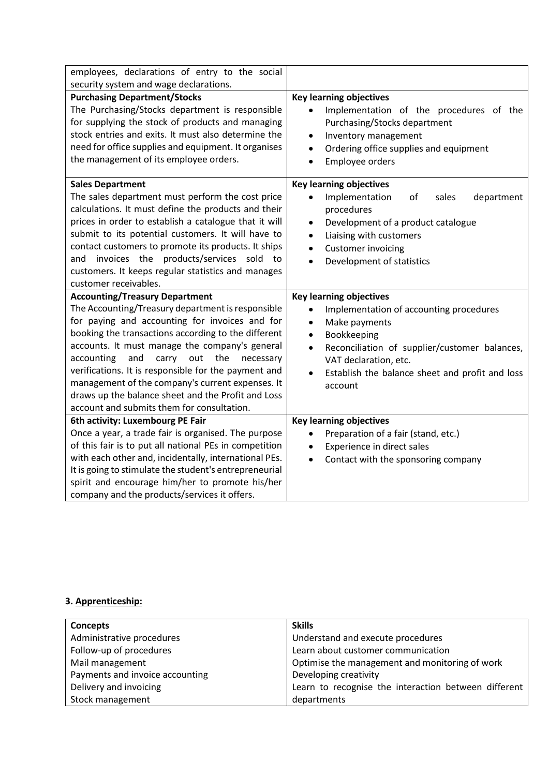| employees, declarations of entry to the social                                                                                                                                                                                                                                                                                                                                                                                                                                                                                 |                                                                                                                                                                                                                                                                                                                    |
|--------------------------------------------------------------------------------------------------------------------------------------------------------------------------------------------------------------------------------------------------------------------------------------------------------------------------------------------------------------------------------------------------------------------------------------------------------------------------------------------------------------------------------|--------------------------------------------------------------------------------------------------------------------------------------------------------------------------------------------------------------------------------------------------------------------------------------------------------------------|
| security system and wage declarations.                                                                                                                                                                                                                                                                                                                                                                                                                                                                                         |                                                                                                                                                                                                                                                                                                                    |
| <b>Purchasing Department/Stocks</b><br>The Purchasing/Stocks department is responsible<br>for supplying the stock of products and managing<br>stock entries and exits. It must also determine the<br>need for office supplies and equipment. It organises<br>the management of its employee orders.                                                                                                                                                                                                                            | <b>Key learning objectives</b><br>Implementation of the procedures of the<br>$\bullet$<br>Purchasing/Stocks department<br>Inventory management<br>$\bullet$<br>Ordering office supplies and equipment<br>$\bullet$<br>Employee orders<br>$\bullet$                                                                 |
| <b>Sales Department</b><br>The sales department must perform the cost price<br>calculations. It must define the products and their<br>prices in order to establish a catalogue that it will<br>submit to its potential customers. It will have to<br>contact customers to promote its products. It ships<br>invoices the products/services sold to<br>and<br>customers. It keeps regular statistics and manages<br>customer receivables.                                                                                       | <b>Key learning objectives</b><br>Implementation<br>of<br>sales<br>department<br>$\bullet$<br>procedures<br>Development of a product catalogue<br>$\bullet$<br>Liaising with customers<br>$\bullet$<br><b>Customer invoicing</b><br>$\bullet$<br>Development of statistics<br>$\bullet$                            |
|                                                                                                                                                                                                                                                                                                                                                                                                                                                                                                                                |                                                                                                                                                                                                                                                                                                                    |
| <b>Accounting/Treasury Department</b><br>The Accounting/Treasury department is responsible<br>for paying and accounting for invoices and for<br>booking the transactions according to the different<br>accounts. It must manage the company's general<br>the<br>accounting<br>and<br>carry<br>out<br>necessary<br>verifications. It is responsible for the payment and<br>management of the company's current expenses. It<br>draws up the balance sheet and the Profit and Loss<br>account and submits them for consultation. | <b>Key learning objectives</b><br>Implementation of accounting procedures<br>$\bullet$<br>Make payments<br>$\bullet$<br>Bookkeeping<br>$\bullet$<br>Reconciliation of supplier/customer balances,<br>$\bullet$<br>VAT declaration, etc.<br>Establish the balance sheet and profit and loss<br>$\bullet$<br>account |
| 6th activity: Luxembourg PE Fair                                                                                                                                                                                                                                                                                                                                                                                                                                                                                               | <b>Key learning objectives</b>                                                                                                                                                                                                                                                                                     |
| Once a year, a trade fair is organised. The purpose<br>of this fair is to put all national PEs in competition<br>with each other and, incidentally, international PEs.<br>It is going to stimulate the student's entrepreneurial<br>spirit and encourage him/her to promote his/her<br>company and the products/services it offers.                                                                                                                                                                                            | Preparation of a fair (stand, etc.)<br>Experience in direct sales<br>Contact with the sponsoring company                                                                                                                                                                                                           |

# **3. Apprenticeship:**

| Concepts                        | <b>Skills</b>                                        |
|---------------------------------|------------------------------------------------------|
| Administrative procedures       | Understand and execute procedures                    |
| Follow-up of procedures         | Learn about customer communication                   |
| Mail management                 | Optimise the management and monitoring of work       |
| Payments and invoice accounting | Developing creativity                                |
| Delivery and invoicing          | Learn to recognise the interaction between different |
| Stock management                | departments                                          |